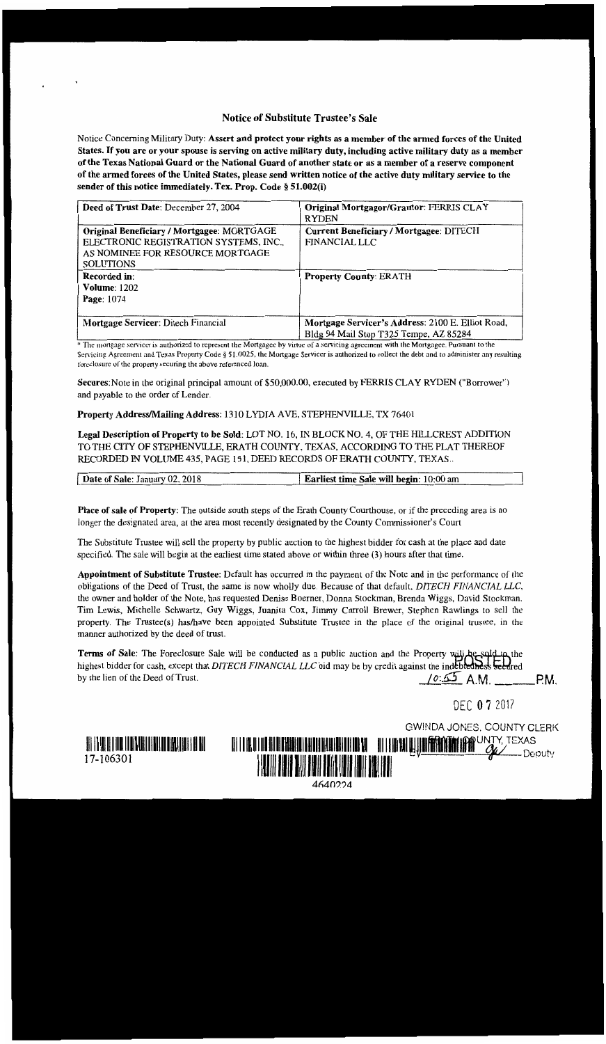## Notice of Substitute Trustee's Sale

Notice Concerning Military Duty: Assert and protect your rights as a member of the armed forces of the United States. If you are or your spouse is serving on active military duty, including active military duty as a member of the Texas National Guard or the National Guard of another state or as a member of a reserve component of the armed forces of the United States, please send written notice of the active duty military service to the sender of this notice immediately. Tex. Prop. Code § 51.002(i)

| Deed of Trust Date: December 27, 2004                                                                                                        | Original Mortgagor/Grantor: FERRIS CLAY<br><b>RYDEN</b>                                     |
|----------------------------------------------------------------------------------------------------------------------------------------------|---------------------------------------------------------------------------------------------|
| Original Beneficiary / Mortgagee: MORTGAGE<br>ELECTRONIC REGISTRATION SYSTEMS, INC.,<br>AS NOMINEE FOR RESOURCE MORTGAGE<br><b>SOLUTIONS</b> | Current Beneficiary / Mortgagee: DITECH<br><b>FINANCIAL LLC</b>                             |
| <b>Recorded in:</b><br><b>Volume: 1202</b><br>Page: 1074                                                                                     | <b>Property County: ERATH</b>                                                               |
| Mortgage Servicer: Ditech Financial                                                                                                          | Mortgage Servicer's Address: 2100 E. Elliot Road,<br>Bldg 94 Mail Stop T325 Tempe, AZ 85284 |

\* The mortgage senicer is authorized to represent the Mortgagee by virtue of a servicing agreement with the Mortgagee. Pursuant to the Servicing Agreement and Texas Property Code § 51.0025, the Mortgage Servicer is authorized to collect the debt and to administer any resulting foreclosure of the property securing the above referenced loan.

Secures:Note in the original principal amount of \$50,000.00, executed by FERRIS CLAY RYDEN ("Borrower") and payable to the order of Lender.

**Property Address/Mailing Address:** 1310 LYDIA A VE, STEPHENVILLE, TX 76401

**Legal Description of Property to be Sold:** LOT NO. 16, IN BLOCK NO. 4, OF THE HILLCREST ADDITION TO THE CITY OF STEPHENVILLE, ERATH COUNTY. TEXAS, ACCORDING TO THE PLAT THEREOF RECORDED IN VOLUME 435, PAGE 151, DEED RECORDS OF ERATH COUNTY, TEXAS ..

| Date of Sale: January 02, 2018 | <b>Earliest time Sale will begin:</b> 10:00 am |
|--------------------------------|------------------------------------------------|
|                                |                                                |

**Place of sale of Property:** The outside south steps of the Erath County Courthouse, or if the preceding area is no longer the designated area, at the area most recently designated by the County Commissioner's Court

The Substitute Trustee will sell the property by public auction to the highest bidder for cash at the place and date specified. The sale will begin at the earliest time stated above or within three (3) hours after that time.

**Appointment of Substitute Trustee:** Default has occurred in the payment of the Note and in the performance of the obligations of the Deed of Trust, the same is now wholly due. Because of that default, *DITECH FINANCIAL* LLC the owner and holder of the Note, has requested Denise Boerner, Donna Stockman, Brenda Wiggs, David Stockman. Tim Lewis, Michelle Schwartz, Guy Wiggs, Juanita Cox, Jimmy Carrol] Brewer, Stephen Rawlings to sell the property. The Trustee(s) has/have been appointed Substitute Trustee in the place of the original trustee, in the manner authorized by the deed of trust.

Terms of Sale: The Foreclosure Sale will be conducted as a public auction and the Property will be supply the highest bidder for cash, except that *DITECH FINANCIAL LLC* bid may be by credit against the indebtedness seedred by the lien of the Deed of Trust. P.M. P.M.

**4640??4** 

DEC 07 2017

GWINDA JONES, COUNTY CLERK

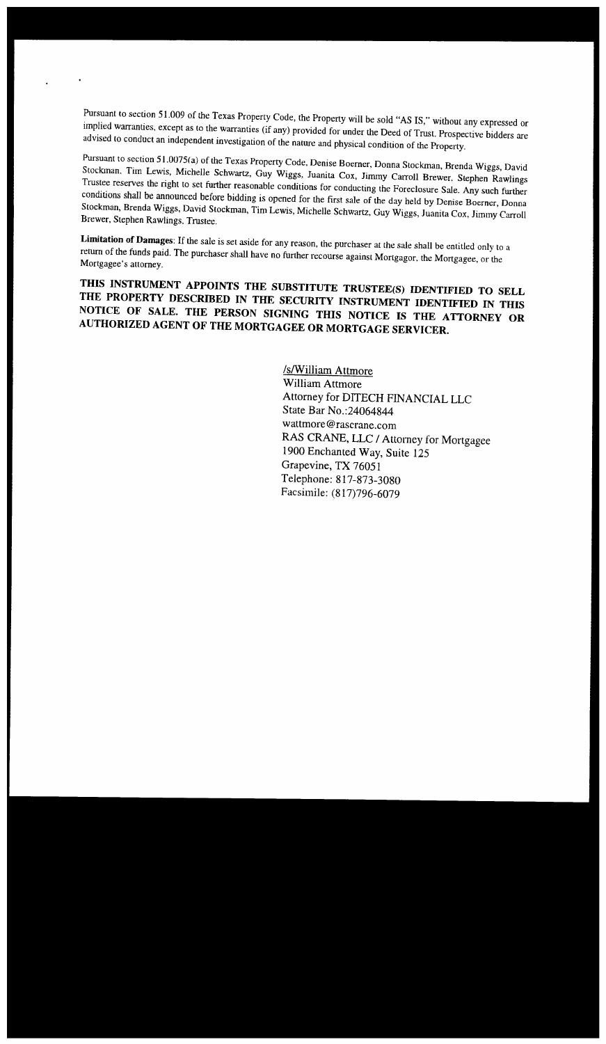Pursuant to section 51.009 of the Texas Property Code, the Property will be sold "AS IS," without any expressed or implied warranties, except as to the warranties (if any) provided for under the Deed of Trust. Prospective bidders are advised to conduct an independent investigation of the nature and physical condition of the Property.

Pursuant to section *5* l.0075(a) of the Texas Property Code. Denise Boerner, Donna Stockman, Brenda Wiggs, David Stockman. Tim Lewis, Michelle Schwartz, Guy Wiggs, Juanita Cox, Jimmy Carroll Brewer. Stephen Rawlings Trustee reserves the right to set further reasonable conditions for conducting the Foreclosure Sale. Any such further conditions shall be announced before bidding is opened for the first sale of the day held by Denise Boerner, Donna Stockman, Brenda Wiggs, David Stockman, Tim Lewis, Michelle Schwartz, Guy Wiggs, Juanita Cox, Jimmy Carroll Brewer, Stephen Rawlings. Trustee.

Limitation of Damages: If the sale is set aside for any reason, the purchaser at the sale shall be entitled only to a return of the funds paid. The purchaser shall have no further recourse against Mortgagor, the Mortgagee, or the Mortgagee's attorney.

**THIS INSTRUMENT APPOINTS THE SUBSTITUTE TRUSTEE(S) IDENTIFIED TO SELL THE PROPERTY DESCRIBED IN THE SECURITY INSTRUMENT IDENTIFIED IN THIS**  NOTICE OF SALE. THE PERSON SIGNING THIS NOTICE IS THE ATTORNEY OR **AUTHORIZED AGENT OF THE MORTGAGEE OR MORTGAGE SERVICER.** 

> **/s/William Attmore** William Attmore Attorney for DITECH FINANCIAL LLC State Bar No.:24064844 wattmore@rascrane.com RAS CRANE, LLC / Attorney for Mortgagee 1900 Enchanted Way, Suite 125 Grapevine, TX 76051 Telephone: 817-873-3080 Facsimile: (817)796-6079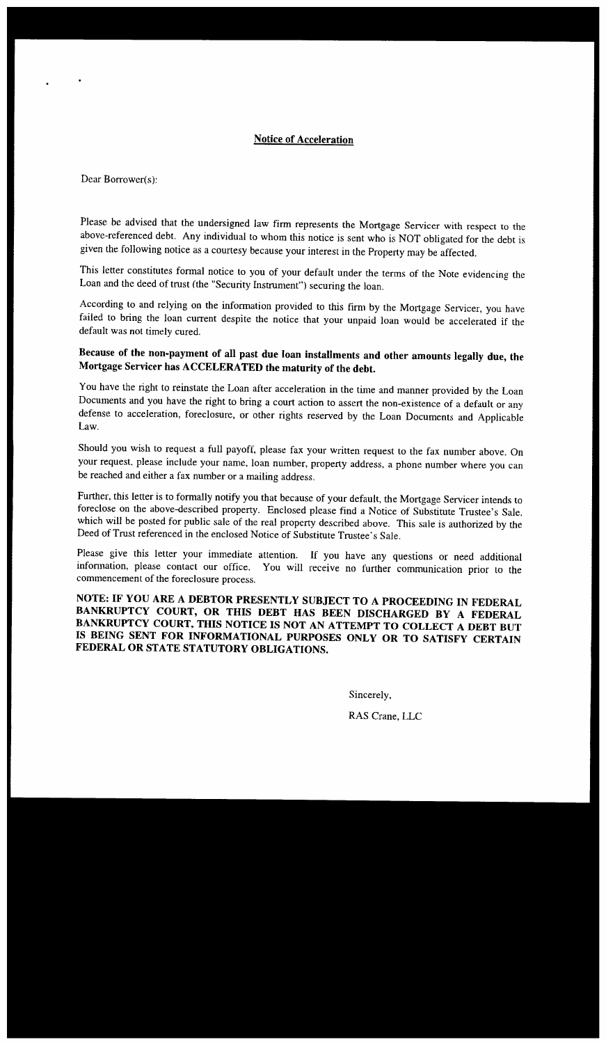## **Notice** of **Acceleration**

Dear Borrower(s):

*Please* be advised that the undersigned law firm represents the Mortgage Servicer with respect to the above-referenced debt. Any individual to whom this notice is sent who is NOT obligated for the debt is given the following notice as a courtesy because your interest in the Property may be affected.

This letter constitutes formal notice to you of your default under the terms of the Note evidencing the Loan and the deed of trust (the "Security Instrument") securing the loan.

According to and relying on the information provided to this firm by the Mortgage Servicer, you have failed to bring the loan current despite the notice that your unpaid loan would be accelerated if the default was not timely cured.

## **Because of the non-payment of all past due loan installments and other amounts legally due, the Mortgage Servicer has ACCELERATED the maturity of the debt.**

You have the right to reinstate the Loan after acceleration in the time and manner provided by the Loan Documents and you have the right to bring a court action to assert the non-existence of a default or any defense to acceleration, foreclosure, or other rights reserved by the Loan Documents and Applicable Law.

Should you wish to request a full payoff, please fax your written request to the fax number above. On your request. please include your name, loan number, property address, a phone number where you can be reached and either a fax number or a mailing address.

Further, this letter is to formally notify you that because of your default, the Mortgage Servicer intends to foreclose on the above-described property. Enclosed please find a Notice of Substitute Trustee's Sale, which will be posted for public sale of the real property described above. This sale is authorized by the Deed of Trust referenced in the enclosed Notice of Substitute Trustee's Sale.

Please give this letter your immediate attention. If you have any questions or need additional infonnation, please contact our office. You will receive no further communication prior to the commencement of the foreclosure process.

**NOTE: IF YOU ARE A DEBTOR PRESENTLY SUBJECT TO A PROCEEDING IN FEDERAL BANKRUPTCY COURT, OR THIS DEBT HAS BEEN DISCHARGED BY A FEDERAL BANKRUPTCY COURT, THIS NOTICE IS NOT AN ATTEMPT TO COLLECT A DEBT BUT IS BEING SENT FOR INFORMATIONAL PURPOSES ONLY OR TO SATISFY CERTAIN FEDERAL OR STATE STATUTORY OBLIGATIONS.** 

> Sincerely, RAS Crane, LLC